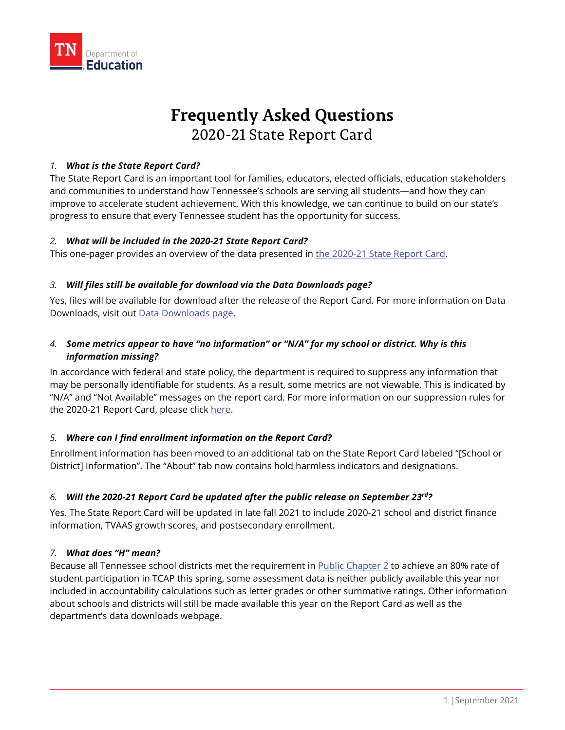

# **Frequently Asked Questions** 2020-21 State Report Card

#### *1. What is the State Report Card?*

The State Report Card is an important tool for families, educators, elected officials, education stakeholders and communities to understand how Tennessee's schools are serving all students—and how they can improve to accelerate student achievement. With this knowledge, we can continue to build on our state's progress to ensure that every Tennessee student has the opportunity for success.

#### *2. What will be included in the 2020-21 State Report Card?*

This one-pager provides an overview of the data presented in [the 2020-21 State Report Card.](https://reportcard.tnedu.gov/)

#### *3. Will files still be available for download via the Data Downloads page?*

Yes, files will be available for download after the release of the Report Card. For more information on Data Downloads, visit out [Data Downloads page.](https://www.tn.gov/education/data/data-downloads.html)

## *4. Some metrics appear to have "no information" or "N/A" for my school or district. Why is this information missing?*

In accordance with federal and state policy, the department is required to suppress any information that may be personally identifiable for students. As a result, some metrics are not viewable. This is indicated by "N/A" and "Not Available" messages on the report card. For more information on our suppression rules for the 2020-21 Report Card, please clic[k here.](https://www.tn.gov/education/data/report-card.html)

## *5. Where can I find enrollment information on the Report Card?*

Enrollment information has been moved to an additional tab on the State Report Card labeled "[School or District] Information". The "About" tab now contains hold harmless indicators and designations.

## *6. Will the 2020-21 Report Card be updated after the public release on September 23rd?*

Yes. The State Report Card will be updated in late fall 2021 to include 2020-21 school and district finance information, TVAAS growth scores, and postsecondary enrollment.

#### *7. What does "H" mean?*

Because all Tennessee school districts met the requirement in [Public Chapter 2](https://publications.tnsosfiles.com/acts/112/extra/pc0002EOS.pdf) to achieve an 80% rate of student participation in TCAP this spring, some assessment data is neither publicly available this year nor included in accountability calculations such as letter grades or other summative ratings. Other information about schools and districts will still be made available this year on the Report Card as well as the department's data downloads webpage.